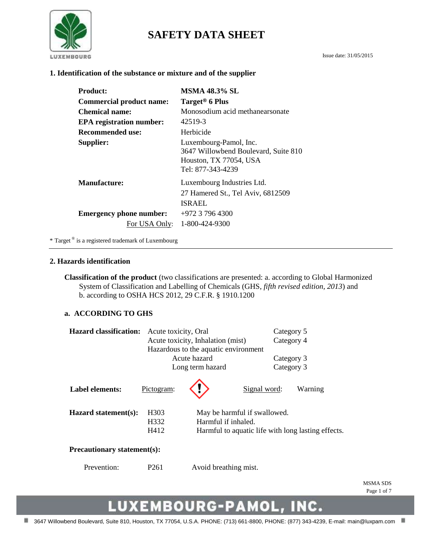

# **SAFETY DATA SHEET**

#### **1. Identification of the substance or mixture and of the supplier**

| <b>Product:</b>                 | <b>MSMA 48.3% SL</b>                                                                                          |
|---------------------------------|---------------------------------------------------------------------------------------------------------------|
| <b>Commercial product name:</b> | Target <sup>®</sup> 6 Plus                                                                                    |
| <b>Chemical name:</b>           | Monosodium acid methanearsonate                                                                               |
| <b>EPA</b> registration number: | 42519-3                                                                                                       |
| Recommended use:                | Herbicide                                                                                                     |
| Supplier:                       | Luxembourg-Pamol, Inc.<br>3647 Willowbend Boulevard, Suite 810<br>Houston, TX 77054, USA<br>Tel: 877-343-4239 |
| Manufacture:                    | Luxembourg Industries Ltd.<br>27 Hamered St., Tel Aviv, 6812509<br><b>ISRAEL</b>                              |
| <b>Emergency phone number:</b>  | $+972$ 3 796 4300                                                                                             |
| For USA Only:                   | 1-800-424-9300                                                                                                |

\* Target ® is a registered trademark of Luxembourg

#### **2. Hazards identification**

**Classification of the product** (two classifications are presented: a. according to Global Harmonized System of Classification and Labelling of Chemicals (GHS, *fifth revised edition, 2013*) and b. according to OSHA HCS 2012, 29 C.F.R. § 1910.1200

#### **a. ACCORDING TO GHS**

| <b>Hazard classification:</b>        | Acute toxicity, Oral |                                   | Category 5                   |                                                    |
|--------------------------------------|----------------------|-----------------------------------|------------------------------|----------------------------------------------------|
|                                      |                      | Acute toxicity, Inhalation (mist) |                              | Category 4                                         |
| Hazardous to the aquatic environment |                      |                                   |                              |                                                    |
|                                      |                      | Acute hazard                      | Category 3                   |                                                    |
|                                      |                      | Long term hazard                  | Category 3                   |                                                    |
| <b>Label elements:</b>               | Pictogram:           |                                   | Signal word:                 | Warning                                            |
| Hazard statement(s):                 | H <sub>3</sub> 03    |                                   | May be harmful if swallowed. |                                                    |
|                                      | H332                 | Harmful if inhaled.               |                              |                                                    |
|                                      | H412                 |                                   |                              | Harmful to aquatic life with long lasting effects. |
| <b>Precautionary statement(s):</b>   |                      |                                   |                              |                                                    |
| Prevention:                          | P <sub>261</sub>     | Avoid breathing mist.             |                              |                                                    |

MSMA SDS Page 1 of 7

# LUXEMBOURG-PAMOL, INC.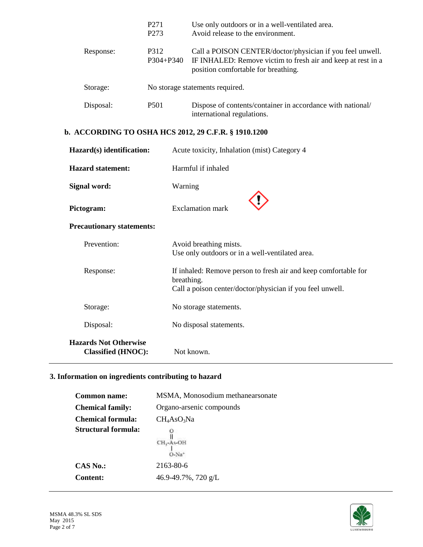|           | P <sub>271</sub><br>P <sub>273</sub> | Use only outdoors or in a well-ventilated area.<br>Avoid release to the environment.                                                                             |
|-----------|--------------------------------------|------------------------------------------------------------------------------------------------------------------------------------------------------------------|
| Response: | P312<br>P304+P340                    | Call a POISON CENTER/doctor/physician if you feel unwell.<br>IF INHALED: Remove victim to fresh air and keep at rest in a<br>position comfortable for breathing. |
| Storage:  |                                      | No storage statements required.                                                                                                                                  |
| Disposal: | P <sub>501</sub>                     | Dispose of contents/container in accordance with national/<br>international regulations.                                                                         |

# **b. ACCORDING TO OSHA HCS 2012, 29 C.F.R. § 1910.1200**

| Hazard(s) identification:                                 | Acute toxicity, Inhalation (mist) Category 4                                                                                               |
|-----------------------------------------------------------|--------------------------------------------------------------------------------------------------------------------------------------------|
| <b>Hazard statement:</b>                                  | Harmful if inhaled                                                                                                                         |
| Signal word:                                              | Warning                                                                                                                                    |
| Pictogram:                                                | <b>Exclamation mark</b>                                                                                                                    |
| <b>Precautionary statements:</b>                          |                                                                                                                                            |
| Prevention:                                               | Avoid breathing mists.<br>Use only outdoors or in a well-ventilated area.                                                                  |
| Response:                                                 | If inhaled: Remove person to fresh air and keep comfortable for<br>breathing.<br>Call a poison center/doctor/physician if you feel unwell. |
| Storage:                                                  | No storage statements.                                                                                                                     |
| Disposal:                                                 | No disposal statements.                                                                                                                    |
| <b>Hazards Not Otherwise</b><br><b>Classified (HNOC):</b> | Not known.                                                                                                                                 |

# **3. Information on ingredients contributing to hazard**

| <b>Common name:</b>      | MSMA, Monosodium methanearsonate |
|--------------------------|----------------------------------|
| <b>Chemical family:</b>  | Organo-arsenic compounds         |
| <b>Chemical formula:</b> | $CH_4AsO_3Na$                    |
| Structural formula:      | $CH3$ -As-OH<br>$O-Na^+$         |
| $CAS$ No.:               | 2163-80-6                        |
| <b>Content:</b>          | 46.9-49.7%, 720 g/L              |

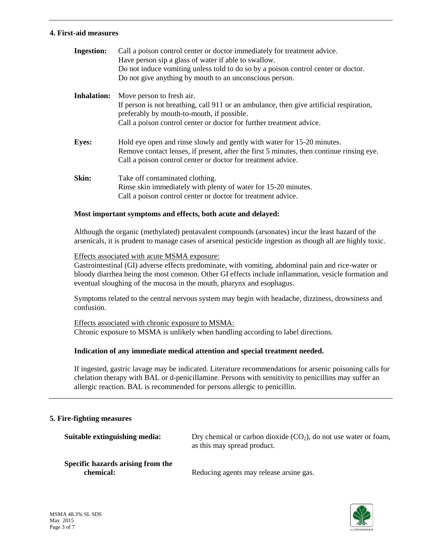#### **4. First-aid measures**

| <b>Ingestion:</b>  | Call a poison control center or doctor immediately for treatment advice.<br>Have person sip a glass of water if able to swallow.<br>Do not induce vomiting unless told to do so by a poison control center or doctor.<br>Do not give anything by mouth to an unconscious person. |
|--------------------|----------------------------------------------------------------------------------------------------------------------------------------------------------------------------------------------------------------------------------------------------------------------------------|
| <b>Inhalation:</b> | Move person to fresh air.                                                                                                                                                                                                                                                        |
|                    | If person is not breathing, call 911 or an ambulance, then give artificial respiration,<br>preferably by mouth-to-mouth, if possible.                                                                                                                                            |
|                    | Call a poison control center or doctor for further treatment advice.                                                                                                                                                                                                             |
|                    |                                                                                                                                                                                                                                                                                  |
| <b>Eyes:</b>       | Hold eye open and rinse slowly and gently with water for 15-20 minutes.                                                                                                                                                                                                          |
|                    | Remove contact lenses, if present, after the first 5 minutes, then continue rinsing eye.<br>Call a poison control center or doctor for treatment advice.                                                                                                                         |
|                    |                                                                                                                                                                                                                                                                                  |
| Skin:              | Take off contaminated clothing.                                                                                                                                                                                                                                                  |
|                    | Rinse skin immediately with plenty of water for 15-20 minutes.                                                                                                                                                                                                                   |
|                    | Call a poison control center or doctor for treatment advice.                                                                                                                                                                                                                     |

#### **Most important symptoms and effects, both acute and delayed:**

Although the organic (methylated) pentavalent compounds (arsonates) incur the least hazard of the arsenicals, it is prudent to manage cases of arsenical pesticide ingestion as though all are highly toxic.

Effects associated with acute MSMA exposure:

Gastrointestinal (GI) adverse effects predominate, with vomiting, abdominal pain and rice-water or bloody diarrhea being the most common. Other GI effects include inflammation, vesicle formation and eventual sloughing of the mucosa in the mouth, pharynx and esophagus.

Symptoms related to the central nervous system may begin with headache, dizziness, drowsiness and confusion.

Effects associated with chronic exposure to MSMA: Chronic exposure to MSMA is unlikely when handling according to label directions.

## **Indication of any immediate medical attention and special treatment needed.**

If ingested, gastric lavage may be indicated. Literature recommendations for arsenic poisoning calls for chelation therapy with BAL or d-penicillamine. Persons with sensitivity to penicillins may suffer an allergic reaction. BAL is recommended for persons allergic to penicillin.

#### **5. Fire-fighting measures**

| Suitable extinguishing media:                  | Dry chemical or carbon dioxide $(CO2)$ , do not use water or foam,<br>as this may spread product. |
|------------------------------------------------|---------------------------------------------------------------------------------------------------|
| Specific hazards arising from the<br>chemical: | Reducing agents may release arsine gas.                                                           |

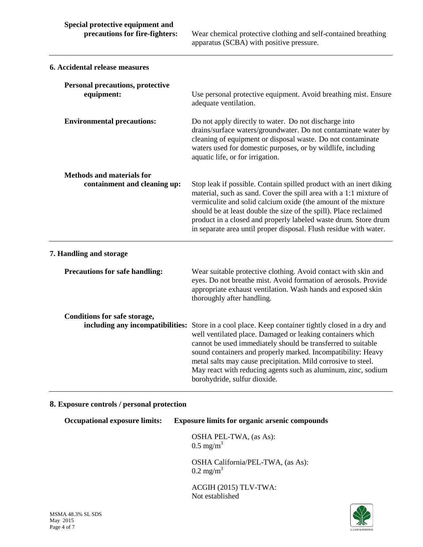**precautions for fire-fighters:** Wear chemical protective clothing and self-contained breathing apparatus (SCBA) with positive pressure.

| 6. Accidental release measures                                   |                                                                                                                                                                                                                                                                                                                                                                                                                                                                    |
|------------------------------------------------------------------|--------------------------------------------------------------------------------------------------------------------------------------------------------------------------------------------------------------------------------------------------------------------------------------------------------------------------------------------------------------------------------------------------------------------------------------------------------------------|
| <b>Personal precautions, protective</b><br>equipment:            | Use personal protective equipment. Avoid breathing mist. Ensure<br>adequate ventilation.                                                                                                                                                                                                                                                                                                                                                                           |
| <b>Environmental precautions:</b>                                | Do not apply directly to water. Do not discharge into<br>drains/surface waters/groundwater. Do not contaminate water by<br>cleaning of equipment or disposal waste. Do not contaminate<br>waters used for domestic purposes, or by wildlife, including<br>aquatic life, or for irrigation.                                                                                                                                                                         |
| <b>Methods and materials for</b><br>containment and cleaning up: | Stop leak if possible. Contain spilled product with an inert diking<br>material, such as sand. Cover the spill area with a 1:1 mixture of<br>vermiculite and solid calcium oxide (the amount of the mixture<br>should be at least double the size of the spill). Place reclaimed<br>product in a closed and properly labeled waste drum. Store drum<br>in separate area until proper disposal. Flush residue with water.                                           |
| 7. Handling and storage                                          |                                                                                                                                                                                                                                                                                                                                                                                                                                                                    |
| <b>Precautions for safe handling:</b>                            | Wear suitable protective clothing. Avoid contact with skin and<br>eyes. Do not breathe mist. Avoid formation of aerosols. Provide<br>appropriate exhaust ventilation. Wash hands and exposed skin<br>thoroughly after handling.                                                                                                                                                                                                                                    |
| Conditions for safe storage,                                     | including any incompatibilities: Store in a cool place. Keep container tightly closed in a dry and<br>well ventilated place. Damaged or leaking containers which<br>cannot be used immediately should be transferred to suitable<br>sound containers and properly marked. Incompatibility: Heavy<br>metal salts may cause precipitation. Mild corrosive to steel.<br>May react with reducing agents such as aluminum, zinc, sodium<br>borohydride, sulfur dioxide. |

# **8. Exposure controls / personal protection**

**Occupational exposure limits: Exposure limits for organic arsenic compounds** OSHA PEL-TWA, (as As):  $0.5 \text{ mg/m}^3$ 

> OSHA California/PEL-TWA, (as As):  $0.2 \text{ mg/m}^3$

ACGIH (2015) TLV-TWA: Not established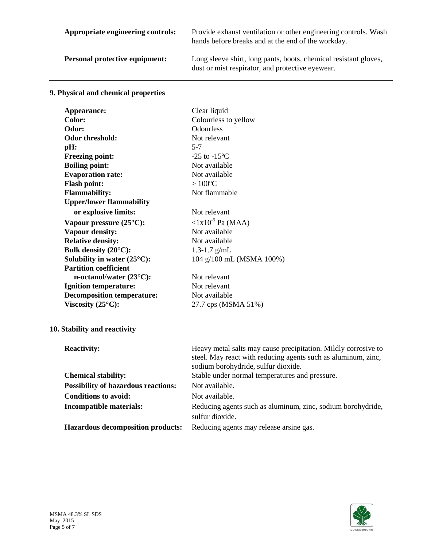|  | Appropriate engineering controls: |  |
|--|-----------------------------------|--|
|--|-----------------------------------|--|

Provide exhaust ventilation or other engineering controls. Wash hands before breaks and at the end of the workday.

Personal protective equipment: Long sleeve shirt, long pants, boots, chemical resistant gloves, dust or mist respirator, and protective eyewear.

# **9. Physical and chemical properties**

| Clear liquid                  |
|-------------------------------|
| Colourless to yellow          |
| <b>Odourless</b>              |
| Not relevant                  |
| $5 - 7$                       |
| $-25$ to $-15$ <sup>o</sup> C |
| Not available                 |
| Not available                 |
| $>100^{\circ}$ C              |
| Not flammable                 |
|                               |
| Not relevant                  |
| $\langle 1x10^{-5}$ Pa (MAA)  |
| Not available                 |
| Not available                 |
| 1.3-1.7 $g/mL$                |
| 104 g/100 mL (MSMA 100%)      |
|                               |
| Not relevant                  |
| Not relevant                  |
| Not available                 |
| 27.7 cps (MSMA 51%)           |
|                               |

# **10. Stability and reactivity**

| <b>Reactivity:</b>                         | Heavy metal salts may cause precipitation. Mildly corrosive to<br>steel. May react with reducing agents such as aluminum, zinc,<br>sodium borohydride, sulfur dioxide. |
|--------------------------------------------|------------------------------------------------------------------------------------------------------------------------------------------------------------------------|
| <b>Chemical stability:</b>                 | Stable under normal temperatures and pressure.                                                                                                                         |
| <b>Possibility of hazardous reactions:</b> | Not available.                                                                                                                                                         |
| <b>Conditions to avoid:</b>                | Not available.                                                                                                                                                         |
| <b>Incompatible materials:</b>             | Reducing agents such as aluminum, zinc, sodium borohydride,<br>sulfur dioxide.                                                                                         |
| <b>Hazardous decomposition products:</b>   | Reducing agents may release arsine gas.                                                                                                                                |

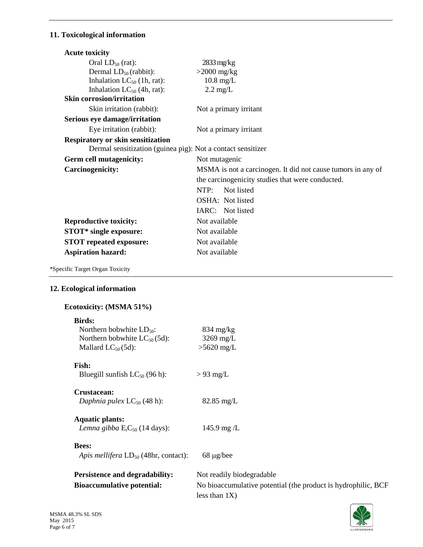# **11. Toxicological information**

| <b>Acute toxicity</b>                                       |                                                             |
|-------------------------------------------------------------|-------------------------------------------------------------|
| Oral $LD_{50}$ (rat):                                       | $2833 \text{ mg/kg}$                                        |
| Dermal $LD_{50}$ (rabbit):                                  | $>2000$ mg/kg                                               |
| Inhalation $LC_{50}$ (1h, rat):                             | $10.8$ mg/L                                                 |
| Inhalation $LC_{50}$ (4h, rat):                             | $2.2 \text{ mg/L}$                                          |
| <b>Skin corrosion/irritation</b>                            |                                                             |
| Skin irritation (rabbit):                                   | Not a primary irritant                                      |
| Serious eye damage/irritation                               |                                                             |
| Eye irritation (rabbit):                                    | Not a primary irritant                                      |
| <b>Respiratory or skin sensitization</b>                    |                                                             |
| Dermal sensitization (guinea pig): Not a contact sensitizer |                                                             |
| Germ cell mutagenicity:                                     | Not mutagenic                                               |
| Carcinogenicity:                                            | MSMA is not a carcinogen. It did not cause tumors in any of |
|                                                             | the carcinogenicity studies that were conducted.            |
|                                                             | NTP:<br>Not listed                                          |
|                                                             | OSHA: Not listed                                            |
|                                                             | IARC: Not listed                                            |
| <b>Reproductive toxicity:</b>                               | Not available                                               |
| <b>STOT*</b> single exposure:                               | Not available                                               |
| <b>STOT</b> repeated exposure:                              |                                                             |
|                                                             | Not available                                               |

\*Specific Target Organ Toxicity

## **12. Ecological information**

# **Ecotoxicity: (MSMA 51%)**

| <b>Birds:</b>                             |                                                               |
|-------------------------------------------|---------------------------------------------------------------|
| Northern bobwhite $LD_{50}$ :             | $834 \text{ mg/kg}$                                           |
| Northern bobwhite $LC_{50}(5d)$ :         | $3269$ mg/L                                                   |
| Mallard $LC_{50}(5d)$ :                   | $>5620$ mg/L                                                  |
| <b>Fish:</b>                              |                                                               |
| Bluegill sunfish $LC_{50}$ (96 h):        | $> 93 \text{ mg/L}$                                           |
|                                           |                                                               |
| Crustacean:                               |                                                               |
| Daphnia pulex $LC_{50}$ (48 h):           | $82.85$ mg/L                                                  |
| <b>Aquatic plants:</b>                    |                                                               |
| Lemna gibba $ErC50$ (14 days):            | 145.9 mg/ $L$                                                 |
|                                           |                                                               |
| <b>Bees:</b>                              |                                                               |
| Apis mellifera $LD_{50}$ (48hr, contact): | $68 \mu g/bee$                                                |
| Persistence and degradability:            | Not readily biodegradable                                     |
|                                           |                                                               |
| <b>Bioaccumulative potential:</b>         | No bioaccumulative potential (the product is hydrophilic, BCF |
|                                           | less than $1X$ )                                              |